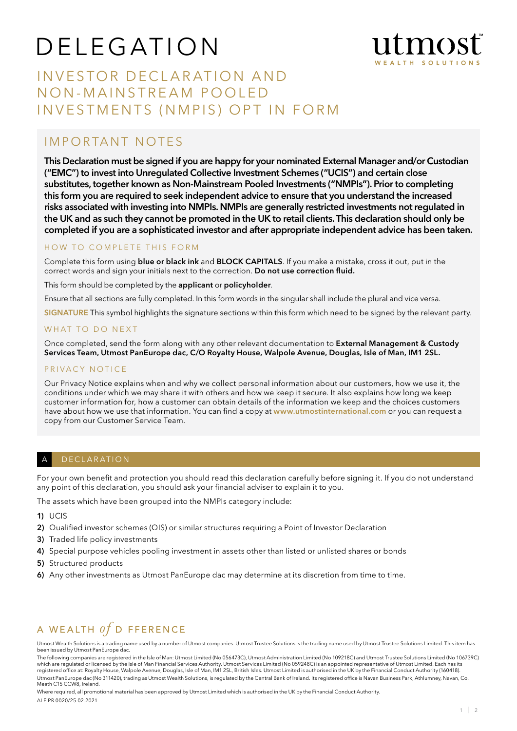# D E L E G AT I O N



## INVESTOR DECLARATION AND NON-MAINSTREAM POOLED INVESTMENTS (NMPIS) OPT IN FORM

### IMPORTANT NOTES

This Declaration must be signed if you are happy for your nominated External Manager and/or Custodian ("EMC") to invest into Unregulated Collective Investment Schemes ("UCIS") and certain close substitutes, together known as Non-Mainstream Pooled Investments ("NMPIs"). Prior to completing this form you are required to seek independent advice to ensure that you understand the increased risks associated with investing into NMPIs. NMPIs are generally restricted investments not regulated in the UK and as such they cannot be promoted in the UK to retail clients. This declaration should only be completed if you are a sophisticated investor and after appropriate independent advice has been taken.

#### HOW TO COMPLETE THIS FORM

Complete this form using blue or black ink and BLOCK CAPITALS. If you make a mistake, cross it out, put in the correct words and sign your initials next to the correction. Do not use correction fluid.

This form should be completed by the applicant or policyholder.

Ensure that all sections are fully completed. In this form words in the singular shall include the plural and vice versa.

SIGNATURE This symbol highlights the signature sections within this form which need to be signed by the relevant party.

#### WHAT TO DO NEXT

Once completed, send the form along with any other relevant documentation to **External Management & Custody** Services Team, Utmost PanEurope dac, C/O Royalty House, Walpole Avenue, Douglas, Isle of Man, IM1 2SL.

#### PRIVACY NOTICE

Our Privacy Notice explains when and why we collect personal information about our customers, how we use it, the conditions under which we may share it with others and how we keep it secure. It also explains how long we keep customer information for, how a customer can obtain details of the information we keep and the choices customers have about how we use that information. You can find a copy at www.utmostinternational.com or you can request a copy from our Customer Service Team.

#### A DECLARATION

For your own benefit and protection you should read this declaration carefully before signing it. If you do not understand any point of this declaration, you should ask your financial adviser to explain it to you.

The assets which have been grouped into the NMPIs category include:

1) UCIS

- 2) Qualified investor schemes (QIS) or similar structures requiring a Point of Investor Declaration
- 3) Traded life policy investments
- 4) Special purpose vehicles pooling investment in assets other than listed or unlisted shares or bonds
- 5) Structured products
- 6) Any other investments as Utmost PanEurope dac may determine at its discretion from time to time.

## A WEALTH  $of$  DIFFERENCE

Utmost Wealth Solutions is a trading name used by a number of Utmost companies. Utmost Trustee Solutions is the trading name used by Utmost Trustee Solutions Limited. This item has been issued by Utmost PanEurope dac.

The following companies are registered in the Isle of Man: Utmost Limited (No 056473C), Utmost Administration Limited (No 109218C) and Utmost Trustee Solutions Limited (No 106739C) which are regulated or licensed by the Isle of Man Financial Services Authority. Utmost Services Limited (No 059248C) is an appointed representative of Utmost Limited. Each has its<br>registered office at: Royalty House, Walp Utmost PanEurope dac (No 311420), trading as Utmost Wealth Solutions, is regulated by the Central Bank of Ireland. Its registered office is Navan Business Park, Athlumney, Navan, Co. Meath C15 CCW8, Ireland.

Where required, all promotional material has been approved by Utmost Limited which is authorised in the UK by the Financial Conduct Authority. ALE PR 0020/25.02.2021